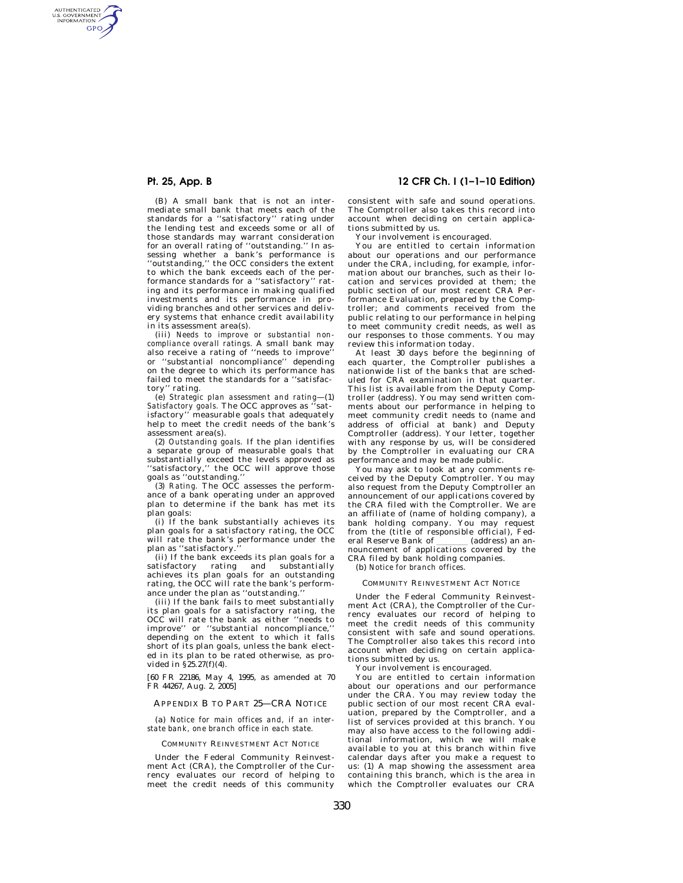AUTHENTICATED<br>U.S. GOVERNMENT<br>INFORMATION **GPO** 

> (B) A small bank that is not an intermediate small bank that meets each of the standards for a ''satisfactory'' rating under the lending test and exceeds some or all of those standards may warrant consideration for an overall rating of ''outstanding.'' In assessing whether a bank's performance is ''outstanding,'' the OCC considers the extent to which the bank exceeds each of the performance standards for a ''satisfactory'' rating and its performance in making qualified investments and its performance in providing branches and other services and delivery systems that enhance credit availability in its assessment area(s).

> (iii) *Needs to improve or substantial noncompliance overall ratings.* A small bank may also receive a rating of ''needs to improve'' or ''substantial noncompliance'' depending on the degree to which its performance has failed to meet the standards for a ''satisfactory'' rating.

> (e) *Strategic plan assessment and rating*—(1) *Satisfactory goals.* The OCC approves as ''satisfactory" measurable goals that adequately help to meet the credit needs of the bank's assessment area(s).

(2) *Outstanding goals.* If the plan identifies a separate group of measurable goals that substantially exceed the levels approved as ''satisfactory,'' the OCC will approve those

goals as ''outstanding.'' (3) *Rating.* The OCC assesses the performance of a bank operating under an approved plan to determine if the bank has met its plan goals: (i) If the bank substantially achieves its

plan goals for a satisfactory rating, the OCC will rate the bank's performance under the plan as "satisfactory.

(ii) If the bank exceeds its plan goals for a satisfactory rating and substantially achieves its plan goals for an outstanding rating, the OCC will rate the bank's performance under the plan as "outstanding.

(iii) If the bank fails to meet substantially its plan goals for a satisfactory rating, the OCC will rate the bank as either ''needs to improve'' or ''substantial noncompliance,'' depending on the extent to which it falls short of its plan goals, unless the bank elected in its plan to be rated otherwise, as provided in §25.27(f)(4).

[60 FR 22186, May 4, 1995, as amended at 70 FR 44267, Aug. 2, 2005]

## APPENDIX B TO PART 25—CRA NOTICE

(a) *Notice for main offices and, if an interstate bank, one branch office in each state.* 

#### COMMUNITY REINVESTMENT ACT NOTICE

Under the Federal Community Reinvestment Act (CRA), the Comptroller of the Currency evaluates our record of helping to meet the credit needs of this community

# **Pt. 25, App. B 12 CFR Ch. I (1–1–10 Edition)**

consistent with safe and sound operations. The Comptroller also takes this record into account when deciding on certain applications submitted by us.

Your involvement is encouraged.

You are entitled to certain information about our operations and our performance under the CRA, including, for example, information about our branches, such as their location and services provided at them; the public section of our most recent CRA Performance Evaluation, prepared by the Comptroller; and comments received from the public relating to our performance in helping to meet community credit needs, as well as our responses to those comments. You may review this information today.

At least 30 days before the beginning of each quarter, the Comptroller publishes a nationwide list of the banks that are scheduled for CRA examination in that quarter. This list is available from the Deputy Comptroller (address). You may send written comments about our performance in helping to meet community credit needs to (name and address of official at bank) and Deputy Comptroller (address). Your letter, together with any response by us, will be considered by the Comptroller in evaluating our CRA performance and may be made public.

You may ask to look at any comments received by the Deputy Comptroller. You may also request from the Deputy Comptroller an announcement of our applications covered by the CRA filed with the Comptroller. We are an affiliate of (name of holding company), a bank holding company. You may request from the (title of responsible official), Federal Reserve Bank of \_\_\_\_\_\_\_ (address) an an-<br>nouncement of applications covered by the CRA filed by bank holding companies.

(b) *Notice for branch offices.* 

#### COMMUNITY REINVESTMENT ACT NOTICE

Under the Federal Community Reinvestment Act (CRA), the Comptroller of the Currency evaluates our record of helping to meet the credit needs of this community consistent with safe and sound operations. The Comptroller also takes this record into account when deciding on certain applications submitted by us.

Your involvement is encouraged.

You are entitled to certain information about our operations and our performance under the CRA. You may review today the public section of our most recent CRA evaluation, prepared by the Comptroller, and a list of services provided at this branch. You may also have access to the following additional information, which we will make available to you at this branch within five calendar days after you make a request to us: (1) A map showing the assessment area containing this branch, which is the area in which the Comptroller evaluates our CRA